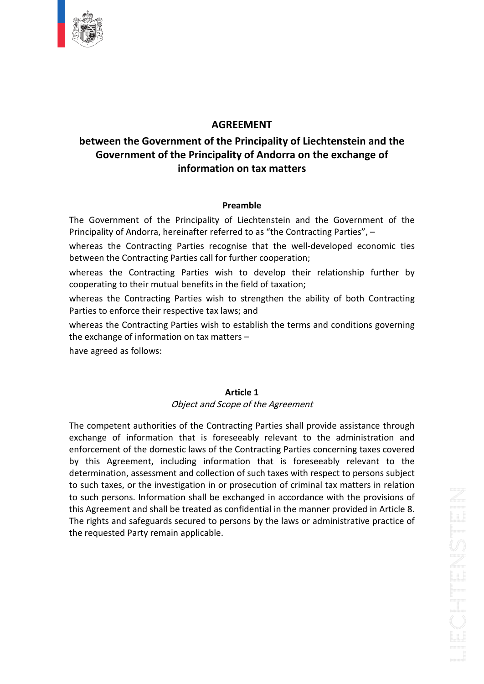

# **AGREEMENT**

# **the Government of the Principality of Liechtenstein and the of EXECUTE AND ASSEMENT**<br> **of** the **Principality** of Liechtenstein and the<br> **of** the Principality of Andorra on the exchange of **EMENT<br>Principality of Liechter<br>y of Andorra on the ex<br>on tax matters** between the Government of the Principality of Liechtenstein and the Etween the Government of the Principality of Andorra on the exchange of<br>
information on tax matters<br>
Preamble<br>
Government of the Principality of Liechtenstein and the Government of the **Principality Government of the Principality of Andorra on the exchange of<br>information on tax matters<br>Preamble<br>The Government of the Principality of Liechtenstein and the Government of the<br>Principality of Andorra, hereinafter referred**

information on tax matters<br>
Preamble<br>
Frament of the Principality of Liechtenstein and the Government of the<br>
The Contracting Parties recognise that the well-developed economic ties<br>
The Contracting Parties recognise that **Preamble**<br> **Preamble**<br> **Preamble**<br> **Preamble**<br> **Preamble**<br> **Preamble**<br> **Contracting Parties recognise that the well-deveration:**<br> **Preamble Contracting Parties call for further cooperation: Preamble**<br>
Freemble<br>
The Contracting Principality of Liechtenstein and the Government of the<br>
y of Andorra, hereinafter referred to as "the Contracting Parties", –<br>
the Contracting Parties all for further cooperation;<br>
th **Preamble**<br>
ment of the Principality of Liechtenstein and the<br>
of Andorra, hereinafter referred to as "the Contractire<br>
e Contracting Parties recognise that the well-dev<br>
contracting Parties call for further cooperation;<br> ine Gov Principality of Andorra, hereinafter referred to as "the Contracting Parties", -

whereas the Contracting Parties recognise that the well-developed economic ties between the Contracting Parties call for further cooperation;

ernment of the Principality of Liechtenstein and the Government of the<br>ty of Andorra, hereinafter referred to as "the Contracting Parties", –<br>the Contracting Parties recognise that the well-developed economic ties<br>the Cont ality of Andorra, hereinatter referred to as "the Contracting Parties recognise that the w<br>n the Contracting Parties call for further cooperat<br>s the Contracting Parties wish to develop t<br>ating to their mutual benefits in t the Contracting Parties recognise that the well-developed economic ties<br>the Contracting Parties call for further cooperation;<br>the Contracting Parties wish to develop their relationship further by<br>ing to their mutual benefi between the Contracting Parties call for further coope<br>whereas the Contracting Parties wish to develop<br>cooperating to their mutual benefits in the field of taxa<br>whereas the Contracting Parties wish to strengthen<br>Parties to

**Article**

eas the Contracting<br>erating to their mutual<br>eas the Contracting Pa<br>es to enforce their resp<br>eas the Contracting Pa<br>xchange of information<br>agreed as follows: whereas the Contracting Parties wish to establish the terms and conditions governing<br>the exchange of information on tax matters –<br>have agreed as follows:<br>**Article 1** 

have agreed as follows:

# Object and Scope of the Agreement

agreed as follows:<br>**Article 1**<br>*Object and Scope of the Agreement*<br>competent authorities of the Contracting Parties shall provide assistance through **Article 1**<br> **object and Scope of the Agreement**<br> **of information that is foreseeably relevant to the administration and<br>
<b>of information that is foreseeably relevant to the administration and Article 1**<br> **Solution Accope of the Agreement**<br> **Object and Scope of the Agreement**<br> **Object and Scope of the Agreement**<br> **Object and Scope of the Contracting Parties concerning taxes covered**<br> **Object and Scope of the Co** Article 1<br>
Object and Scope of the Agreement<br>
competent authorities of the Contracting Parties shall provide assistance through<br>
hange of information that is foreseeably relevant to the administration and<br>
this Agreement, **Example 1**<br>
Object and Scope of the Agreement<br>
authorities of the Contracting Parties shall provide assistance through<br>
iformation that is foreseeably relevant to the domestic laws of the Contracting Parties concerning ta surface or the Agreement<br>of competent authorities of the Contracting Parties shall provide assistance through<br>change of information that is foreseeably relevant to the administration and<br>forcement of the domestic laws of t The competent authorities of the Contracting Parties shall provide assistance through e competent authorities of the Contracting Parties shall provide assistance through<br>change of information that is foreseeably relevant to the administration and<br>forcement of the domestic laws of the Contracting Parties con exchange of information that is foreseeably relevant to the administration and exchange of information that is foreseeably relevant to the administration and<br>enforcement of the domestic laws of the Contracting Parties concerning taxes covered<br>by this Agreement, including information that is foreseeab rights and safeguards secured to persons by the laws or administrative practice of the secured this Agreement, including information that is foreseeably relevant to the rrmination, assessment and collection of such taxes w by this Agreement, including inform<br>determination, assessment and collectic<br>to such taxes, or the investigation in o<br>to such persons. Information shall be<br>this Agreement and shall be treated as<br>The rights and safeguards se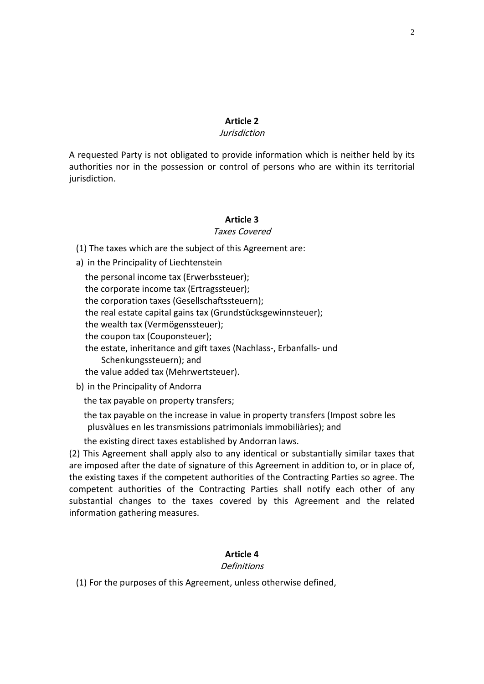# **2**

# Jurisdiction

Article 2<br> *Surisdiction*<br> *Surisdiction*<br> *Requested Party is not obligated to provide information which is neither held by its* Article 2<br> *norisdiction<br>
lettra possession or control of persons which is neither held by its*<br>
Arty is not obligated to provide information which is neither held by its<br>
por in the possession or control of persons who ar A requested Party is not obligated to provide information which is neither held by its<br>authorities nor in the possession or control of persons who are within its territorial<br>jurisdiction.<br>**Article 3** jurisdiction. The taxes which are the subject of this Agreement are:<br>The taxes which are the subject of this Agreement are:

# Taxes Covered

**Article 3**<br> *Taxes Cover*<br>
The taxes which are the subject of this Agre<br>
in the Principality of Liechtenstein **Article 3**<br>*Taxes Covered*<br>e taxes which are the subject of this Agreen<br>he Principality of Liechtenstein<br>personal income tax (Erwerbssteuer): ) Th

a) in the Principality of Liechtenstein

**Article 3**<br>
Taxes Covered<br>
Article 3<br>
Taxes Covered<br>
Article 3<br>
Taxes Covered<br>
Article steps (Ertragssteuer);<br>
corporate income tax (Ertragssteuer); Finde 3<br>
Taxes Covered<br>
Let axes which are the subject of this Agreemer<br>
the Principality of Liechtenstein<br>
personal income tax (Erwerbssteuer);<br>
corporation taxes (Gesellschaftssteuern);<br>
corporation taxes (Gesellschaftss raxes covered<br>
e taxes which are the subject of this Agreement are:<br>
he Principality of Liechtenstein<br>
personal income tax (Ertragssteuer);<br>
corporation taxes (Gesellschaftssteuern);<br>
real estate capital gains tax (Grundst e taxes which are the subject of this<br>he Principality of Liechtenstein<br>personal income tax (Erwerbssteuer<br>corporate income tax (Ertragssteuer<br>corporation taxes (Gesellschaftssteu<br>real estate capital gains tax (Grunds<br>wealt he Principality of Liechtenstein<br>personal income tax (Erwerbsste<br>corporate income tax (Ertragsste<br>corporation taxes (Gesellschaftss<br>real estate capital gains tax (Grur<br>wealth tax (Vermögenssteuer);<br>coupon tax (Couponsteuer the personal income tax (Erwerbssteuer); personal income tax (Erwerbssteuer);<br>corporate income tax (Ertragssteuer);<br>corporation taxes (Gesellschaftssteuern);<br>real estate capital gains tax (Grundstücksgewinnsteuer);<br>wealth tax (Vermögenssteuer);<br>coupon tax (Coupon the corporate income tax (Ertragssteuer); Entertream<br>
(Ertragssteue<br>
sellschaftsste<br>
ns tax (Grund<br>
ssteuer);<br>
d gift taxes (M<br>
and the corporation taxes (Gesellschaftssteuern); The corporation taxes (Gesellschaftssteuern<br>the real estate capital gains tax (Grundstück<br>the wealth tax (Vermögenssteuer);<br>the coupon tax (Couponsteuer);<br>the estate, inheritance and gift taxes (Nachl<br>Schenkungssteuern); a the real estate capital gains tax (Grund<br>the wealth tax (Vermögenssteuer);<br>the coupon tax (Couponsteuer);<br>the estate, inheritance and gift taxes (<br>Schenkungssteuern); and<br>the value added tax (Mehrwertsteuer)<br>in the Princip thewealth tax (Vermögenssteuer);<br>coupon tax (Couponsteuer);<br>estate, inheritance and gift taxes (Nach<br>Schenkungssteuern); and<br>value added tax (Mehrwertsteuer).<br>the Principality of Andorra<br>tax payable on property transfers: the coupon tax (Couponsteuer); coupon tax (Couponsteuer);<br>
estate, inheritance and gift taxes (Nachlass-, Erbanfalls- und<br>
Schenkungssteuern); and<br>
value added tax (Mehrwertsteuer).<br>
the Principality of Andorra<br>
tax payable on property transfers;<br>
tax p ne estate, inneritance and gift taxes (Nachiass-, Erbantalis- und<br>ungssteuern); and<br>dded tax (Mehrwertsteuer).<br>ipality of Andorra<br>ble on the increase in value in property transfers (Impost sobre<br>en les transmissions patrimonials immo the value added tax (Mehrwertsteuer).

b) in the Principality of Andorra

existing direct taxes established by Andorra<br>
the tax payable on property transfers;<br>
the tax payable on the increase in value in property transfer<br>
plusvàlues en les transmissions patrimonials immobiliàries<br>
the existing The Principality of Andorra<br>
the tax payable on property transfers;<br>
the tax payable on the increase in value in property transfers (Impost sobre les<br>
plusvàlues en les transmissions patrimonials immobiliàries); and<br>
the imposed after the date of signature of this Agreement in addition to, or in place of,<br>are imposed after the date of signature of this Agreement in addition to, or in place of,<br>are imposed after the date of signature of thi the tax plusvà

the existing direct taxes established by Andorran laws.

the tax payable on property transfers;<br>the tax payable on the increase in value in property transfers (Impost sobre les<br>plusvàlues en les transmissions patrimonials immobiliàries); and<br>the existing direct taxes established ayable on the increase in value in property transfers (Impost sobre les<br>
ues en les transmissions patrimonials immobiliàries); and<br>
ing direct taxes established by Andorran laws.<br>
eement shall apply also to any identical o ies en les transmissions patrimonials immobiliàries); and<br>ing direct taxes established by Andorran laws.<br>eement shall apply also to any identical or substantially similar taxes that<br>after the date of signature of this Agre ing direct taxes establishe<br>beement shall apply also t<br>after the date of signatu<br>taxes if the competent au<br>authorities of the Cont<br>changes to the taxes<br>gathering measures. h<mark>oritie</mark>s competent authorities of the Contracting Parties shall notify each other of any substantial changes to the taxes covered by this Agreement and the related information gathering measures.<br> **4** Article 4 information gathering measures. For the purposes of this Agreement, unless otherwise defined,<br>For the purposes of this Agreement, unless otherwise defined,

# **Definitions**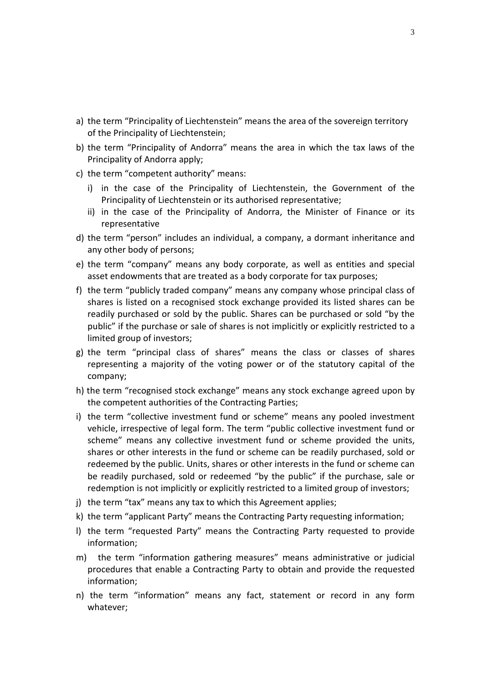- the term "Principality of Liechtenstein" means the area of the sovereign territory e term "Principality of Liechtenstein"<br>The Principality of Liechtenstein"<br>the Principality of Liechtenstein: the term "Principality of Liechtenstein" means the area of the sovereign territory<br>of the Principality of Liechtenstein;<br>the term "Principality of Andorra" means the area in which the tax laws of the rincipality of Liechtens<br>ipality of Liechtenstein<br>Principality of Andorra<br>of Andorra apply: the term "Principality of Liechtenstein" mear<br>of the Principality of Liechtenstein;<br>the term "Principality of Andorra" means th<br>Principality of Andorra apply;<br>the term "competent authority" means: term "Princ of the Principality of Liechtenstein;
- term "Principality of Liechtenstein" means the area of the sovereign territory<br>he Principality of Liechtenstein;<br>term "Principality of Andorra" means the area in which the tax laws of the<br>ncipality of Andorra apply;<br>term " pality of Liechtenstein" means the area of the sovere<br>ity of Liechtenstein;<br>cipality of Andorra" means the area in which the ta<br>andorra apply;<br>betent authority" means:<br>e of the Principality of Liechtenstein, the Govern<br>of in the Principality of Liechtenstein;<br>
term "Principality of Andorra" means the area in which the tax laws of the<br>
incipality of Andorra apply;<br>
term "competent authority" means:<br>
in the case of the Principality of Liechte b) the term "Principality of Andorra" means the area in which the tax laws of the
- c) the term "competent authority" means:
	- Principality of Liechtenstein or its authorised representative;
- Principality of Andorra apply;<br>
the term "competent authority" means:<br>
i) in the case of the Principality of Liechtenstein, the Government of the<br>
Principality of Liechtenstein or its authorised representative;<br>
ii) in the term "competent authority"<br>
n the case of the Princip<br>
Principality of Liechtenstein<br>
n the case of the Princip<br>
representative<br>
term "person" includes an<br>
other body of persons: i) in the case of the Principality of Liechtenstein, the Government of the<br>
Principality of Liechtenstein or its authorised representative;<br>
ii) in the case of the Principality of Andorra, the Minister of Finance or its<br>
r incipality of Liechtenstein or its authorised representative;<br>the case of the Principality of Andorra, the Minister of Finance o<br>presentative<br>erm "person" includes an individual, a company, a dormant inheritance<br>ther body representative
- II) In the case of the Principality of Andorra, the Minister of Finance or its<br>representative<br>the term "person" includes an individual, a company, a dormant inheritance and<br>any other body of persons;<br>the term "company" mea resentative<br>m "person" includes an individual, a company, a dormant inheritance and<br>er body of persons;<br>m "company" means any body corporate, as well as entities and special<br>ndowments that are treated as a body corporate f the ter any other body of persons;
- 
- m "person" includes an individual, a company, a dormant inheritance and<br>er body of persons;<br>m "company" means any body corporate, as well as entities and special<br>indowments that are treated as a body corporate for tax purp er body of persons;<br>m "company" means any body corporate, as well as entities and special<br>idowments that are treated as a body corporate for tax purposes;<br>m "publicly traded company" means any company whose principal class the term "company" means a<br>asset endowments that are treat<br>the term "publicly traded comp<br>shares is listed on a recognise<br>readily purchased or sold by th<br>public" if the purchase or sale of<br>limited group of investors: asset endowments that are treated as a body corporate for tax purposes;<br>the term "publicly traded company" means any company whose principal class of<br>shares is listed on a recognised stock exchange provided its listed shar the term "pu blicly traded company" means any company whose principal class of<br>d on a recognised stock exchange provided its listed shares can be<br>ased or sold by the public. Shares can be purchased or sold "by the<br>purchase or sale of s shares is listed on a recognised stock exchange provided its listed shares can be put
- readily purchased or sold by the public. Shares can be purchased or sold "by the<br>public" if the purchase or sale of shares is not implicitly or explicitly restricted to a<br>limited group of investors;<br>the term "principal cla lic" if the purchase or sale of shares is not implicitly or<br>ted group of investors;<br>term "principal class of shares" means the clas<br>resenting a majority of the voting power or of the<br>pany;<br>term "recognised stock exchange" IImited group of Investors;<br>the term "principal class of shares" means the class or classes of shares<br>representing a majority of the voting power or of the statutory capital of the<br>company;<br>the term "recognised stock excha the ter m "principal class of shares" means the class or classes of shares<br>hting a majority of the voting power or of the statutory capital of the<br>y;<br>i "recognised stock exchange" means any stock exchange agreed upon by<br>petent aut representing a majority of the voting power or of the statutory capital of the
- h) the term "recognised stock exchange" means any stock exchange agreed upon by the competent authorities of the Contracting Parties;
- representing a majority of the voting power or of the statutory capital of the<br>company;<br>the term "recognised stock exchange" means any stock exchange agreed upon by<br>the competent authorities of the Contracting Parties;<br>the n "recognised stock exchange" means any stock exchange agreed upon by<br>npetent authorities of the Contracting Parties;<br>m "collective investment fund or scheme" means any pooled investment<br>, irrespective of legal form. The t recognised stock exchange" means any stock exchange agreed upon by<br>tent authorities of the Contracting Parties;<br>collective investment fund or scheme" means any pooled investment<br>espective of legal form. The term "public co competent authorities of the Contracting Parties;<br>term "collective investment fund or scheme" means any pooled investment<br>icle, irrespective of legal form. The term "public collective investment fund or<br>eme" means any coll i) the term "collective investment fund or scheme" means any pooled investment bllective investment fund or scheme" means any pooled investment<br>spective of legal form. The term "public collective investment fund or<br>eans any collective investment fund or scheme provided the units,<br>her interests in the vehicle, irrespective of legal form. The term "public collective inves<br>scheme" means any collective investment fund or scheme provi<br>shares or other interests in the fund or scheme can be readily pur<br>redeemed by the public. scheme" means any collective investment fund or scheme provided the units, shares or other interests in the fund or scheme can be readily purchased, sold or redeemed by the public. Units, shares or other interests in the f shares or other interests in the rund or scheme can be readily purchased, sold or<br>redeemed by the public. Units, shares or other interests in the fund or scheme can<br>be readily purchased, sold or redeemed "by the public" if redeemed by the public. Units, shares or other interests in the fund or scheme can reuempuol
- $i)$  the term "tax" means any tax to which this Agreement applies;
- k) the term "applicant Party" means the Contracting Party requesting information;
- Featily purchased, sold<br>demption is not implicitle<br>e term "tax" means any<br>e term "applicant Party"<br>e term "requested Part<br>ormation;<br>the term "information y or explicitly restricted to a limited group of investors;<br>tax to which this Agreement applies;<br>means the Contracting Party requesting information;<br>y" means the Contracting Party requested to provide<br>gathering measures" m that enable a Contracting Party to obtain and provide the requested<br>that enable a Contracting Party requesting information;<br>equested Party" means the Contracting Party requested to provide<br>is<br>"information gathering measure I) the term "requested Party" means the Contracting Party requested to provide
- The term "applicant Party" means the Contracting Party requesting information;<br>
the term "requested Party" means the Contracting Party requested to provide<br>
nformation;<br>
the term "information gathering Party to obtain and
- whatever;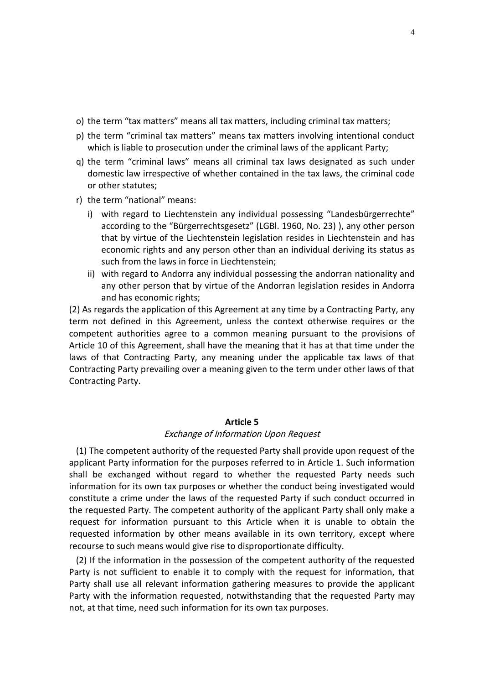- the term "tax matters" means all tax matters, including criminal tax matters;<br>including that the term "tax matters" means all tax matters, including criminal tax matters;<br>the term "criminal tax matters" means tax matters involving intentional conduct  $\mathsf{o}_i$
- m "tax matters" means all tax matters, including criminal tax matters;<br>im "criminal tax matters" means tax matters involving intentional condu<br>is liable to prosecution under the criminal laws of the applicant Party: the term "tax matters" means all tax matters, including criminal tax matters;<br>the term "criminal tax matters" means tax matters involving intentional conduct<br>which is liable to prosecution under the criminal laws of the ap (tax matters" means all tax matters, including criminal tax matters;<br>"criminal tax matters" means tax matters involving intentional conduct<br>able to prosecution under the criminal laws of the applicant Party;<br>"criminal laws which is liable to prosecution under the criminal laws of the applicant Party; i)
- Exterm "tax matters"<br>Exterm "criminal taxe<br>ich is liable to prose<br>Exterm "criminal lay<br>mestic law irrespect<br>other statutes: term "criminal tax matters" means tax matters involving intentional conduct<br>ch is liable to prosecution under the criminal laws of the applicant Party;<br>term "criminal laws" means all criminal tax laws designated as such un to prosecution under the criminal laws of the applicant Party;<br>minal laws" means all criminal tax laws designated as such under<br>irrespective of whether contained in the tax laws, the criminal code<br>tes;<br>ional" means:<br>d to L g) the term "criminal laws" means all criminal tax laws designated as such under n "criminal laws" means all criminal tax laws designated as such under<br>
c law irrespective of whether contained in the tax laws, the criminal code<br>
statutes;<br>
i "national" means:<br>
regard to Liechtenstein any individual pos nestic law or other statutes;
- r) the term "national" means:
- irrespective of whether contained in the tax laws, the criminal code<br>tes;<br>ional" means:<br>d to Liechtenstein any individual possessing "Landesbürgerrechte"<br>to the "Bürgerrechtsgesetz" (LGBI. 1960, No. 23) ), any other person statutes;<br>
"national" means:<br>
regard to Liechtenstein any individual pos<br>
ding to the "Bürgerrechtsgesetz" (LGBI. 196<br>
by virtue of the Liechtenstein legislation res<br>
omic rights and any person other than an in<br>
from the l term "national" means:<br>with regard to Liechtenstein any individual possessing "Landesbürgerrechte"<br>according to the "Bürgerrechtsgesetz" (LGBI. 1960, No. 23)), any other person<br>that by virtue of the Liechtenstein legislati ا+iر<br>ا regard to Liechtenstein any individual possessing "Landesbürgerrechte"<br>ording to the "Bürgerrechtsgesetz" (LGBI. 1960, No. 23)), any other person<br>by virtue of the Liechtenstein legislation resides in Liechtenstein and has<br> according to the "Bürgerrecht<br>that by virtue of the Liechten<br>economic rights and any pers<br>such from the laws in force in<br>with regard to Andorra any ir<br>any other person that by virtuand has economic rights: that by virtue of the Liechtenstein legislation resides in Liechtenstein and has<br>economic rights and any person other than an individual deriving its status as<br>such from the laws in force in Liechtenstein;<br>ii) with regard economic rights and any person other than an individual deriving its status as such from the laws in force in Liechtenstein;
	- economic rights and any person other than an individual deriving its status as<br>such from the laws in force in Liechtenstein;<br>) with regard to Andorra any individual possessing the andorran nationality and<br>any other person ii) with regard to Andorra any individual possessing the andorran nationality and and has economic rights;

any other person that by virtue of the Andorran legislation resides in Andorra<br>and has economic rights;<br>(2) As regards the application of this Agreement at any time by a Contracting Party, any<br>term not defined in this Agre with regard to Andorra any individual possessing the andorran nationality and<br>any other person that by virtue of the Andorran legislation resides in Andorra<br>and has economic rights;<br>egards the application of this Agreement any other person that by virtue of the Andorran legislation resides in Andorra<br>and has economic rights;<br>regards the application of this Agreement at any time by a Contracting Party, any<br>not defined in this Agreement, unles As the application of this Agreement at any time by a Contracting Party, any<br>perfined in this Agreement, unless the context otherwise requires or the<br>authorities agree to a common meaning pursuant to the provisions of<br>it t (2) As regards the application of this Agreement at any time by a Contracting Party, any ds the apple<br>Party in the authorities<br>Party prevent<br>Party preventy<br>Party. r the m laws of that Contracting Party, any meaning under the applicable tax laws of that<br>Contracting Party prevailing over a meaning given to the term under other laws of that<br>Contracting Party.<br>**Article 5** –<br>–<br>– The competent authority of the requested Party shall provide upon request<br>The competent authority of the requested Party shall provide upon request of the contracti

# Exchange of Information Upon Request

**Article 5**<br>**Exchange of Information Upon Request**<br>competent authority of the requested Party shall provide upon request of the<br>Party information for the purposes referred to in Article 1. Such information **Article 5**<br>**Exchange of Information Upon Request**<br>The competent authority of the requested Party shall provide upon request of the<br>ant Party information for the purposes referred to in Article 1. Such information<br>be excha **Article 5**<br>**Exchange of Information Upon Request**<br>mpetent authority of the requested Party shall provide upon request of the<br>rty information for the purposes referred to in Article 1. Such information<br>changed without rega **Article 5**<br>*Exchange of Information Upon Request*<br>provide upon request of the<br>arty information for the purposes referred to in Article 1. Such information<br>xchanged without regard to whether the requested Party needs such<br> *Exchange of Information Upon Request*<br>The competent authority of the requested Party shall provide upon request of the<br>Iicant Party information for the purposes referred to in Article 1. Such information<br>I be exchanged wi (1) The competent authority of the requested Party shall provide upon request of the competent authority of the requested Party shall provide upon request of the<br>
E Party information for the purposes referred to in Article 1. Such information<br>
exchanged without regard to whether the requested Party needs s applicant Party information for the purposes referred to in Article 1. Such information shall be exchanged without regard to whether the requested Party needs such information for its own tax purposes or whether the conduc represent to such means would give rise to disproportionate party<br>information for its own tax purposes or whether the conduct being invest<br>constitute a crime under the laws of the requested Party if such conduc<br>the request mation for its own tax purposes or whether the conduct being investigated would<br>itute a crime under the laws of the requested Party if such conduct occurred in<br>equested Party. The competent authority of the applicant Party constitute a crime under the laws of the requested Party if such conduct occurred in tute a crime under the laws of the requested Party if such conduct occurred in quested Party. The competent authority of the applicant Party shall only make a<br>st for information pursuant to this Article when it is unable t the requested Party. The competent authority of the applicant Party shall only make a quested Party. The competent authority of the applicant Party shall only make a<br>st for information pursuant to this Article when it is unable to obtain the<br>sted information by other means available in its own territory, ex request for information pursuant to this Article when it is unable to obtain the

st for information pursuant to this Article when it is unable to obtain the<br>sted information by other means available in its own territory, except where<br>rse to such means would give rise to disproportionate difficulty.<br>If requested information by other means available in its own te<br>recourse to such means would give rise to disproportionate difficu<br>(2) If the information in the possession of the competent author<br>Party is not sufficient to en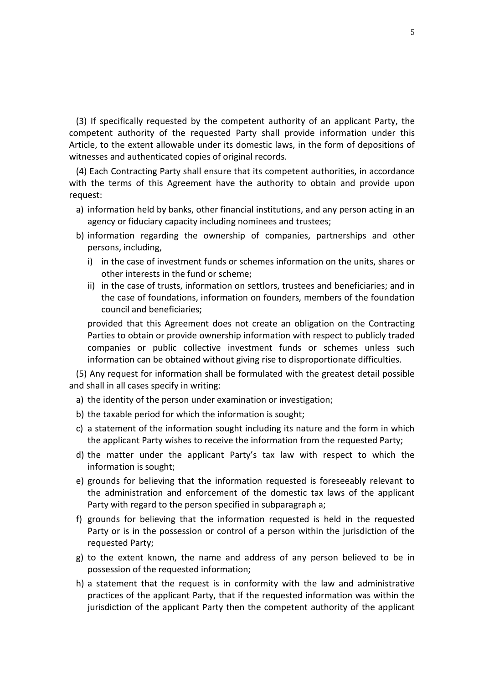If specifically requested by the competent authority of an applicant Party, the ifically requested by the competent authority of an applicant Party, the<br>authority of the requested Party shall provide information under this specifically requested by the competent authority of an applicant Party, the<br>ent authority of the requested Party shall provide information under this<br>to the extent allowable under its domestic laws, in the form of deposit (3) If specifically requested by the competent authority<br>ompetent authority of the requested Party shall provirticle, to the extent allowable under its domestic laws, in<br>itnesses and authenticated copies of original record If specifically requested by the competent authority of an applicant Party, the<br>betent authority of the requested Party shall provide information under this<br>e, to the extent allowable under its domestic laws, in the form o If specifically requested by the competent authority of an applicant Party, the<br>etent authority of the requested Party shall provide information under this<br>e, to the extent allowable under its domestic laws, in the form of  $(3)$  If s competent authority of the requested Party shall provide information under this Article, to the extent allowable under its domestic laws, in the form of depositions of witnesses and authenticated copies of original records.

petent authority of the requested Party shall provide information under this<br>le, to the extent allowable under its domestic laws, in the form of depositions of<br>esses and authenticated copies of original records.<br>Each Contr ne extent allowable under its domestic laws, in the form c<br>nd authenticated copies of original records.<br>ontracting Party shall ensure that its competent authoritie<br>rms of this Agreement have the authority to obtain an<br>itio esses and authenticated copies of original records.<br>
Each Contracting Party shall ensure that its competent authorities, in accordance<br>
the terms of this Agreement have the authority to obtain and provide upon<br>
est:<br>
infor Each Co ntracting Party<br>ns of this Agr<br>ion held by ban<br>r fiduciary cap<br>ion regarding<br>including. with the terms of this Agreement have the authority to obtain and provide upon request: other

- in the case of investment funds or schemes information and provide upon<br>in the case of investory capacity including nominees and trustees;<br>in the case of investment funds or schemes information on the units, shares or<br>in t on held by banks, other financial inst<br>
interventive fund on regarding the ownership of correlating,<br>
case of investment funds or scheme;<br>
interests in the fund or scheme; a) information held by banks, other financial institutions, and any person acting in an ncy
- in the case of trusts, information on settlors, and any person acting in an<br>incy or fiduciary capacity including nominees and trustees;<br>in the case of investment funds or schemes information on the units, shares or<br>other i or fiduciary capacity including nominees and trustees;<br>tion regarding the ownership of companies, partnerships and other<br>i, including,<br>ne case of investment funds or schemes information on the units, shares or<br>per interest persons, including,
	- i) in the case of investment funds or schemes information on the units, shares or other interests in the fund or scheme;
	- portunation regarding the own<br>sons, including,<br>in the case of investment fund<br>other interests in the fund or s<br>in the case of trusts, informati<br>the case of foundations, inform<br>council and beneficiaries: ncluding,<br>case of investment funds or schemes information on the units, shares or<br>interests in the fund or scheme;<br>case of trusts, information on settlors, trustees and beneficiaries; and in<br>se of foundations, information The case of investment funds or schemes information on the units, shares or<br>primterests in the fund or scheme;<br>ne case of trusts, information on settlors, trustees and beneficiaries; and in<br>case of foundations, information erests in the fund or scheme;<br>se of trusts, information on settlors, trustees and beneficiaries; and in<br>of foundations, information on founders, members of the foundation<br>nd beneficiaries;<br>at this Agreement does not create ii) in the case of trusts, information on settlors, trustees and beneficiaries; and in

ii) in the case of trusts, information on settlors, trustees and beneficiaries; and in<br>the case of foundations, information on founders, members of the foundation<br>council and beneficiaries;<br>provided that this Agreement doe the case of foundations, information on founders, members of the foundation<br>
council and beneficiaries;<br>
provided that this Agreement does not create an obligation on the Contracting<br>
Parties to obtain or provide ownership council and beneficiaries;<br>provided that this Agreement does n<br>Parties to obtain or provide ownership<br>companies or public collective inv<br>information can be obtained without g<br>Any request for information shall be i<br>shall in provided that this Agreement does not create an obligation on the Contracting<br>Parties to obtain or provide ownership information with respect to publicly traded<br>companies or public collective investment funds or schemes un Parties to obtain or provide ownership information with res<br>companies or public collective investment funds or<br>information can be obtained without giving rise to dispropo<br>Any request for information shall be formulated wit information can be obtained without giving rise to disproportionate difficulties.

a statement of the information sought including its nature and the form in which<br>a statement of the person under examination or investigation;<br>the identity of the person under examination or investigation;<br>the taxable peri request for information shall be formulated with the greatest detail possible<br>
I in all cases specify in writing:<br>
identity of the person under examination or investigation;<br>
taxable period for which the information is sou ں<br>ا silali III ali Ca

- e)
- b) the taxable period for which the information is sought;
- Any request for information shall be formulated with the greatest detail possible<br>shall in all cases specify in writing:<br>the identity of the person under examination or investigation;<br>the taxable period for which the infor Ses spectry in v<br>of the person units of the informate<br>t Party wishes<br>under the applies c) a statement of the information sought including its nature and the form in which
- the taxable period for which the information of investigation,<br>a statement of the information sought including its nature and the form in which<br>the applicant Party wishes to receive the information from the requested Party relation and the information is sought;<br>attement of the information sought including its nature and the form in which<br>applicant Party wishes to receive the information from the requested Party;<br>matter under the applicant P the i information is sought;
- ement of the information sought including its nature and the<br>pplicant Party wishes to receive the information from the requ<br>natter under the applicant Party's tax law with respect<br>nation is sought;<br>ds for believing that th the applicant Party wishes to receive the information from the requested Party;<br>the matter under the applicant Party's tax law with respect to which the<br>information is sought;<br>grounds for believing that the information req natter under the applicant Party's tax law with respect to which the<br>nation is sought;<br>ds for believing that the information requested is foreseeably relevant to<br>dministration and enforcement of the domestic tax laws of th n is sought<br>istration a<br>istration a<br>regard to t<br>or believing<br>in the pos<br>Partv: e) grounds for believing that the information requested is foreseeably relevant to the administration and enforcement of the domestic tax laws of the applicant
- grounds for believing that the information requested is foreseeably relevant to<br>the administration and enforcement of the domestic tax laws of the applicant<br>Party with regard to the person specified in subparagraph a;<br>grou stration and enforcement of the<br>regard to the person specified in su<br>r believing that the information<br>in the possession or control of a p<br>Party;<br>ent known, the name and addres<br>of the requested information: Party with regard to the person specified in subparagraph a;<br>grounds for believing that the information requested is held in the requested<br>Party or is in the possession or control of a person within the jurisdiction of the f) grounds for believing that the information requested is held in the requested For believing that the information requested is held in the requested<br>s in the possession or control of a person within the jurisdiction of the<br>l Party;<br>ttent known, the name and address of any person believed to be in<br>n o Party or is in the possession or control of a person within the jurisdiction of the
- 
- requested Party;<br>g) to the extent known, the name and address of any person believed to be in<br>possession of the requested information;<br>h) a statement that the request is in conformity with the law and administrative<br>practi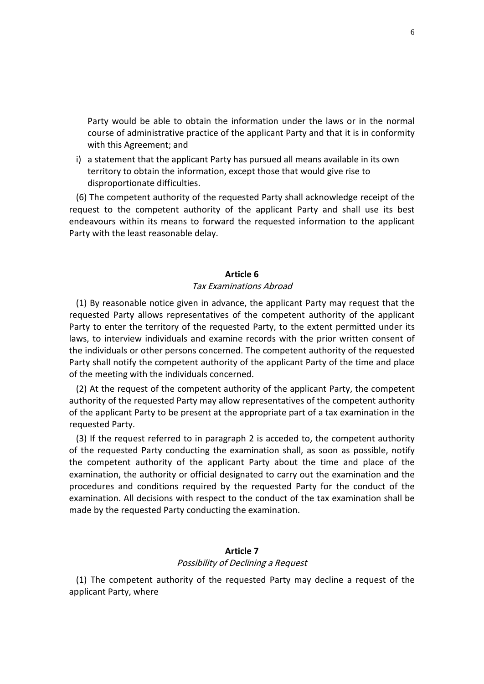would be able to obtain the information under the laws or in the normal ould be able to obtain the information under the laws or in the normal<br>of administrative practice of the applicant Party and that it is in conformity This Agreement containt the vertical this Agreement: and Party would be able to obtain the information under the laws or in the normal<br>course of administrative practice of the applicant Party and that it is in conformity<br>with this Agreement; and<br>a statement that the applicant Pa uld be able to obtain the information under the laws or in the norm<br>f administrative practice of the applicant Party and that it is in conformit<br>Agreement; and<br>ent that the applicant Party has pursued all means available i Party would be able to obtain the information under the laws or in the normal<br>course of administrative practice of the applicant Party and that it is in conformity<br>with this Agreement; and<br>a statement that the applicant Pa course of administrative practice of the applicant Party and that it is in conformity with this Agreement; and

Party would be able to obtain t<br>course of administrative practice<br>with this Agreement; and<br>i) a statement that the applicant Pa<br>territory to obtain the informatio<br>disproportionate difficulties. The competent authority of the applicant Party and that it is in conformity<br>this Agreement; and<br>attement that the applicant Party has pursued all means available in its own<br>tory to obtain the information, except those that s Agreement; and<br>nent that the applicant Party has pursued all means available in its own<br>v to obtain the information, except those that would give rise to<br>prtionate difficulties.<br>mpetent authority of the requested Party s

i) a statement that the applicant Party h<br>territory to obtain the information, ex<br>disproportionate difficulties.<br>(6) The competent authority of the requ<br>request to the competent authority of<br>endeavours within its means to (6) The competent authority of the requested Party shall acknowledge receipt of the request to the competent authority of the applicant Party and shall use its best<br>endeavours within its means to forward the requested information to the applicant<br>Party with the least reasonable delay.<br>**Article 6** بان<br>مسم By reasonable notice given in advance, the applicant Party may request that the<br>By reasonable notice given in advance, the applicant Party may request that the rarty with

# Tax Examinations Abroad

Article 6<br>
Tax Examinations Abroad<br>
Sonable notice given in advance, the applicant Party may request that the<br>
Party allows representatives of the competent authority of the applicant **Article 6**<br>Tax Examinations Abroad<br>By reasonable notice given in advance, the applicant Party may request that the<br>sted Party, allows representatives of the competent authority of the applicant<br>to enter the territory of t Article 6<br>Tax Examinations Abroad<br>By reasonable notice given in advance, the applicant Party may request that the<br>sted Party allows representatives of the competent authority of the applicant<br>to enter the territory of the **individuals or other persons concerned.** The competent authority of the applicant<br>are personable notice given in advance, the applicant Party may request that the<br>uested Party allows representatives of the competent autho Tax Examinations Abroad<br>By reasonable notice given in advance, the applicant Party may request that the<br>sted Party allows representatives of the competent authority of the applicant<br>to enter the territory of the requested (1) By reasonable notice given in advance, the applicant Party may request that the (1) By reasonable notice given in advance, the approximation expresentatives of the contry to enter the territory of the requested Party ws, to interview individuals and examine record are individuals or other persons conc ested Party allows representatives of the competent authority of the applicant<br>to enter the territory of the requested Party, to the extent permitted under its<br>to interview individuals and examine records with the prior wr Party to enter the territory of the requested Party, to the extent permitted under its enter the territory of the requested Party, to the extent permitted under its<br>nterview individuals and examine records with the prior written consent of<br>duals or other persons concerned. The competent authority of the requ laws, to interview individuals and examine records with the prior written consent of or interview individuals and examine records with the prior written consent of<br>
individuals or other persons concerned. The competent authority of the requested<br>
rty shall notify the competent authority of the applicant Pa the individuals or other persons concerned. The competent authority of the requested Party shall notify the competent authority of the applicant Party of the time and place of the meeting with the individuals concerned.

Shall notify the competent authority of the applicant Party of the time and place<br>
a meeting with the individuals concerned.<br>
At the request of the competent authority of the applicant Party, the competent<br>
prity of the re the meeting with the individuals concerned.<br>
2) At the request of the competent authority of the applicant Party, the competent<br>
thority of the requested Party may allow representatives of the competent authority<br>
the appl (2) At the request of the competent authority of the applicant Party, the competent At the request of the competent authority of the applicant Party, the competent<br>ority of the requested Party may allow representatives of the competent authority<br>e applicant Party to be present at the appropriate part of a authority of the requested Party may allow representatives of the competent authority of the applicant Party to be present at the appropriate part of a tax examination in the requested Party.

The requested Party may allow representatives of the competent authority<br>the Party to be present at the appropriate part of a tax examination in the<br>ty.<br>quest referred to in paragraph 2 is acceded to, the competent authori rant Party to be present at the appropriate part of a tax examination in the<br>arty.<br>equest referred to in paragraph 2 is acceded to, the competent authority<br>ested Party conducting the examination shall, as soon as possible, The sum of the competent authority<br>all decisions with respect to the competent authority<br>ted Party conducting the examination shall, as soon as possible, notify<br>the authority of the applicant Party about the time and place (3) If the request referred to in paragraph 2 is acceded to, t<br>of the requested Party conducting the examination shall, as<br>the competent authority of the applicant Party about the<br>examination, the authority or official des examination, the authority or official designated to carry out the examination and the procedures and conditions required by the requested Party for the conduct of the examination. All decisions with respect to the conduct of the tax examination shall be made by the requested Party conducting the examination ا ا<br>ام م The competent authority of the requested Party conducting the examination.<br>
Article 7<br>
The competent authority of the requested Party may decline a request of the  $\frac{1}{2}$ 

# Possibility of Declining a Request

(1) The competent authority of the requested Party may decline a request of the applicant Party, where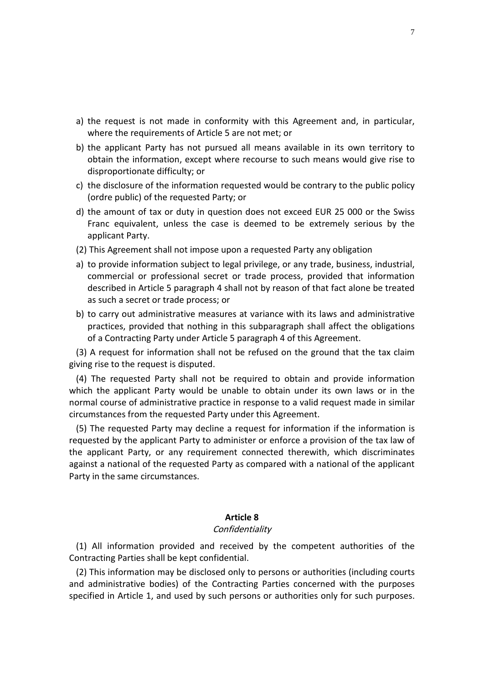- the request is not made in conformity with this Agreement and, in particular, quest is not made in conformity with this Agree<br>the requirements of Article 5 are not met; or the request is not made in conformity with this Agreement and, in particular,<br>where the requirements of Article 5 are not met; or<br>the applicant Party has not pursued all means available in its own territory to quest is not made in conformity with this Agreement and, in particular,<br>the requirements of Article 5 are not met; or<br>plicant Party has not pursued all means available in its own territory to<br>the information, except where the re
- ot made in confor<br>ements of Article 5<br>ty has not pursue<br>nation, except whe<br>difficulty: or the request is not made in conformity with this Agreement and, in particular,<br>where the requirements of Article 5 are not met; or<br>the applicant Party has not pursued all means available in its own territory to<br>obtain the i quest is not made in conformity with<br>the requirements of Article 5 are not mericant Party has not pursued all mea<br>the information, except where recours<br>portionate difficulty; or<br>closure of the information requested we<br>publ where the requirements of Article 5 are not met; or<br>the applicant Party has not pursued all means available in its own territory to<br>obtain the information, except where recourse to such means would give rise to<br>disproporti the a plicant Party has not pursued all means available in its own territory to<br>the information, except where recourse to such means would give rise to<br>portionate difficulty; or<br>closure of the information requested would be cont obtain the information, except where recourse to such means would give rise to
- c) the disclosure of the information requested would be contrary to the public policy
- obtain the informat<br>disproportionate dif<br>c) the disclosure of the<br>(ordre public) of the<br>d) the amount of tax c<br>Franc equivalent, u<br>applicant Party. disproportionate difficulty; or<br>the disclosure of the information requested would be contrary to the public polic<br>(ordre public) of the requested Party; or<br>the amount of tax or duty in question does not exceed EUR 25 000 o the disclosure of the information requested would be contrary to the public policy<br>(ordre public) of the requested Party; or<br>the amount of tax or duty in question does not exceed EUR 25 000 or the Swiss<br>Franc equivalent, u i) or the requested Party; or<br>of tax or duty in question does not exceed EUR 25 000 or the Swiss<br>alent, unless the case is deemed to be extremely serious by the<br>ty.<br>ent shall not impose upon a requested Party any obligatio d) the amount of tax or duty in question does not exceed EUR 25 000 or the Swiss It of tax or duty in question does not exceed EUR 25 000 or the Swiss<br>ivalent, unless the case is deemed to be extremely serious by the<br>Party.<br>ement shall not impose upon a requested Party any obligation<br>information subjec Fr
- (2) This Agreement shall not impose upon a requested Party any obligation
- nnc equivalent, unless the case is deplicant Party.<br>
is Agreement shall not impose upon a r<br>
provide information subject to legal pri<br>
mmercial or professional secret or tra<br>
scribed in Article 5 paragraph 4 shall no<br>
such applicant Party.<br>This Agreement shall not impose upon a requested Party any obligation<br>to provide information subject to legal privilege, or any trade, business, industrial,<br>commercial or professional secret or trade proce ement shall not impose upon a requested Party any obligation<br>information subject to legal privilege, or any trade, business, industrial,<br>al or professional secret or trade process, provided that information<br>in Article 5 pa a) to provide information subject to legal privilege, or any trade, business, industrial, a) to provide information subject to legal privilege, or any trade, business, in<br>commercial or professional secret or trade process, provided that infi-<br>described in Article 5 paragraph 4 shall not by reason of that fact a giving
- Commercial or professional secret or trade process, provided that information<br>described in Article 5 paragraph 4 shall not by reason of that fact alone be treated<br>as such a secret or trade process; or<br>co carry out administ described in Article 5 paragraph 4 sh<br>as such a secret or trade process; or<br>b) to carry out administrative measure<br>practices, provided that nothing in t<br>of a Contracting Party under Article 5<br>(3) A request for information Is such a secret or trade process; or<br>
o carry out administrative measures at variance with its laws and administrative<br>
practices, provided that nothing in this subparagraph shall affect the obligations<br>
of a Contracting b) to carry out administrative measures at variance with its laws and administrative carry out administrative measures at variance with its laws and administrative<br>actices, provided that nothing in this subparagraph shall affect the obligations<br>a Contracting Party under Article 5 paragraph 4 of this Agreem practices, provided that nothing in this subparagraph shall affect the obligations of a Contr

giving rise to the request is disputed.

ctices, provided that nothing in this subparagraph shall affect the obligations<br>a Contracting Party under Article 5 paragraph 4 of this Agreement.<br>request for information shall not be refused on the ground that the tax cla of a Contracting Party under Article 5 paragraph 4 of this Agree<br>
(3) A request for information shall not be refused on the ground<br>
ving rise to the request is disputed.<br>
(4) The requested Party shall not be required to ob A request for information shall not be refused on the ground that the tax claim<br>
grise to the request is disputed.<br>
The requested Party shall not be required to obtain and provide information<br>
in the applicant Party would to the request is disputed.<br>
requested Party shall not be required to obtain and provide information<br>
applicant Party would be unable to obtain under its own laws or in the<br>
urse of administrative practice in response to a  $\overline{14}$ The requested Party shall not be required to obtain and provide information<br>the applicant Party would be unable to obtain under its own laws or in the<br>nal course of administrative practice in response to a valid request ma which the applicant Party would be unable to obtain under its own laws or in the normal course of administrative practice in response to a valid request made in similar

he applicant Party would be unable to obtain under its own laws or in the course of administrative practice in response to a valid request made in similar tances from the requested Party under this Agreement.<br>
e requested al course of administrative pract<br>instances from the requested Pa<br>The requested Party may declir<br>sted by the applicant Party to a<br>pplicant Party, or any require<br>st a national of the requested P<br>in the same circumstances. requested by the applicant Party to administer or enforce a provision of the tax law of r or enforc<br>nnected th<br>pmpared w<br>**8** (1)All information provided and received by the competent authorities of the<br>All information provided and received by the competent authorities of the rarry in the

# **Confidentiality**

**Article 8**<br>Confidentiality<br>(1) All information provided and received by the competent authorities of the<br>Contracting Parties shall be kept confidential. **This information provided and received by the competent authorities of the**<br>
This information may be disclosed only to persons or authorities (including courts **Article 8**<br>Confidentiality<br>All information provided and received by the competent authorities of the<br>racting Parties shall be kept confidential.<br>This information may be disclosed only to persons or authorities (including

(2) This information may be disclosed only to persons or authorities (including courts and administrative bodies) of the Contracting Parties concerned with the purposes specified in Article 1, and used by such persons or a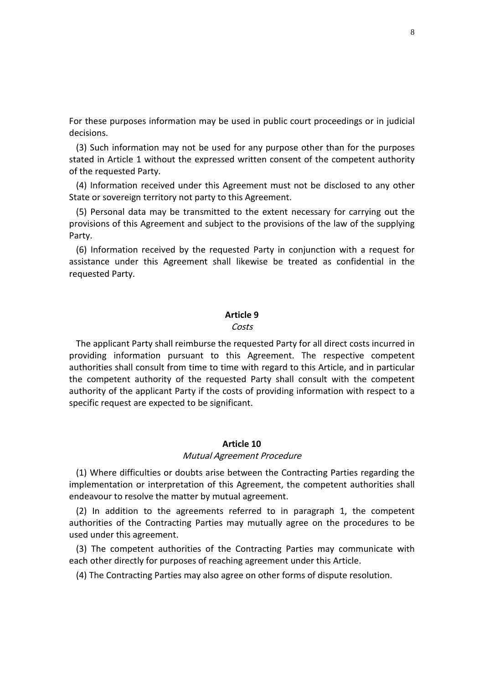these purposes information may be used in public court proceedings or in judicial or these purp<br>ecisions. nese purposes information may be used in public court proceedings or in judicial<br>Such information may not be used for any purpose other than for the purposes ise purposes information may be used in public court proceedings or in judicial<br>ins.<br>in Article 1 without the expressed written consent of the competent authority For tl

or these purposes informand<br>ecisions.<br>(3) Such information may<br>ated in Article 1 without<br>f the requested Party. Information and the used in public court proceedings or in judicial<br>Ions.<br>Such information may not be used for any purpose other than for the purposes<br>Information any othe expressed written consent of the competent authori or these purposes information may be used in public court<br>ecisions.<br>(3) Such information may not be used for any purpose ot<br>ated in Article 1 without the expressed written consent of<br>the requested Party.<br>(4) Information re Such information may not be used for any purpose other than for the purposes<br>d in Article 1 without the expressed written consent of the competent authority<br>exequested Party.<br>Information received under this Agreement must (3) Such information may not be used for any purpose other than for the purposes information may not be used for any purpose other than for the purposes<br>
xticle 1 without the expressed written consent of the competent authority<br>
rested Party.<br>
mation received under this Agreement must not be disclosed statec

(4) Information received under this Agreement must not be disclosed to any other State or sovereign territory not party to this Agreement.

The requested Party.<br>
(4) Information received under this Agreement must not be disclosed to any other<br>
ate or sovereign territory not party to this Agreement.<br>
(5) Personal data may be transmitted to the extent necessary nation received under this Agreement must not be disclosed to any other<br>vereign territory not party to this Agreement.<br>hall data may be transmitted to the extent necessary for carrying out the<br>of this Agreement and subject vereign ter<br>nal data r<br>of this Agr<br>mation rec<br>under thi<br>Partv.

(6) Information received by the requested Party in conjunction with a request for assistance under this Agreement shall likewise be treated as confidential in the requested Party.<br> **Particle 9** noist<br>.e. . . applicant Party.<br>applicant Party shall reimburse the requested Party for all direct costs incurred in icquester

### Costs

arty:<br> **information pursuant contingle Setticle 9**<br> **information pursuant to this Agreement. The respective competent Shall consult from the Costs**<br>Costs<br>Costs incurred in<br>information pursuant to this Agreement. The respective competent<br>shall consult from time to time with regard to this Article, and in particular Article 9<br>Costs<br>e applicant Party shall reimburse the requested Party for all direct costs incurred in<br>iding information pursuant to this Agreement. The respective competent<br>orities shall consult from time to time with reg **Example 19**<br>Costs<br>licant Party shall reimburse the requested Party for all direct costs incurred in<br>information pursuant to this Agreement. The respective competent<br>s shall consult from time to time with regard to this Ar Costs<br>pplicant Party shall reimburse the requested<br>g information pursuant to this Agree<br>ies shall consult from time to time with req<br>ppetent authority of the requested Party<br>y of the applicant Party if the costs of prov<br>re ime wi the competent authority of the requested Party shall consult with the competent authority of the applicant Party if the costs of providing information with respect to a specific request are expected to be significant.<br>Arti  $(1)$ Where difficulties or doubts arise between the Contracting Parties regarding the<br>Where difficulties or doubts arise between the Contracting Parties regarding the specture request

# Mutual Agreement Procedure

or interpreted to be significant.<br> **Article 10**<br> *Mutual Agreement Procedure*<br>
culties or doubts arise between the Contracting Parties regarding the<br>
or interpretation of this Agreement, the competent authorities shall (1) Where difficulties or doubts arise between the Contracting Parties regarding the implementation or interpretation of this Agreement, the competent authorities shall endeavour to resolve the matter by mutual agreement. Article 10<br>
In addition to the agreement *Procedure*<br>
Mutual Agreement *Procedure*<br>
Mere difficulties or doubts arise between the Contracting Parties regarding the<br>
Mere metation or interpretation of this Agreement, the co Article 10<br>
Mutual Agreement Procedure<br>
difficulties or doubts arise between the Contracting Parties regarding the<br>
tion or interpretation of this Agreement, the competent authorities shall<br>
co resolve the matter by mutual Mu<br>
(1) Where difficulties or doub-<br>
inplementation or interpretation<br>
indeavour to resolve the matter<br>
(2) In addition to the agree<br>
uthorities of the Contracting<br>
sed under this agreement. Where difficulties or doubts arise between the Contracting Parties regarding the<br>mentation or interpretation of this Agreement, the competent authorities shall<br>avour to resolve the matter by mutual agreement.<br>In addition t implementation or interpretation of this Agreement, the competent authorities shall

nplementation or interpretation of this Agreement, the competent authori<br>
indeavour to resolve the matter by mutual agreement.<br>
(2) In addition to the agreements referred to in paragraph 1, the co<br>
uthorities of the Contra avour to resolve the matter by mutual agreement.<br>
In addition to the agreements referred to in paragraph 1, the comp<br>
prities of the Contracting Parties may mutually agree on the procedures<br>
under this agreement.<br>
The comp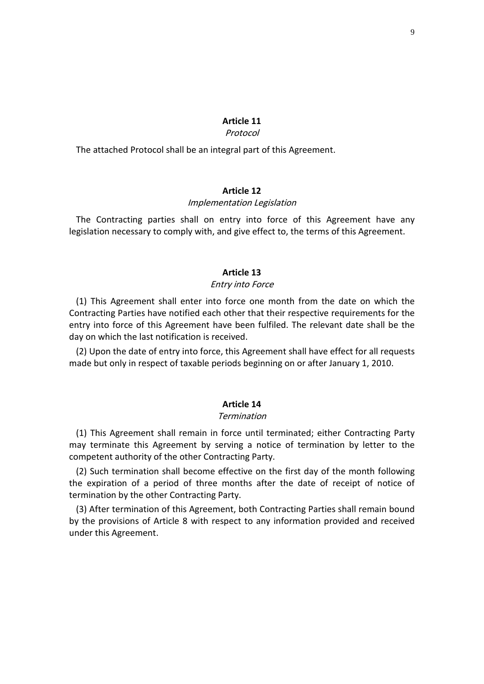# **11 Article**

# Protocol

Article 11<br> *Protocol*<br>
attached Protocol shall be an integral part of this Agreement. **11**<br>*rol*<br>art of this Ag<br>**12**  $T_{\rm{hs}}$ Intrached Protocol shall be an integral part of this Agreement.<br> **Article 12**<br> *Contracting parties shall on entry into force of this Agreement have any* luc atta

Implementation Legislation<br>
all on entry into force of this A<sub>{</sub><br>
y with, and give effect to, the terms of<br> **Article 13** Article 12<br>*Implementation Legislation*<br>The Contracting parties shall on entry into force of this Agreement have any  $\frac{1}{2}$ This Agreement shall enter into force one month from the date on which the<br>This Agreement shall enter into force one month from the date on which the IC SIGNOTI

# Entry into Force

Particle 13<br>
Particle 13<br>
Particle 13<br>
Parties have notified each other that their respective requirements for the Article 13<br> *Entry into Force*<br>
This Agreement shall enter into force one month from the date on which the<br>
acting Parties have notified each other that their respective requirements for the<br>
into force of this Agreement h **Article 13**<br>*Entry into Forical* (1) This Agreement shall enter into force one<br>pontracting Parties have notified each other that<br>htry into force of this Agreement have been fu<br>av on which the last notification is received *Entry into Force*<br>
This Agreement shall enter into force one month from the date on which the<br>
racting Parties have notified each other that their respective requirements for the<br>
into force of this Agreement have been fu *Entry into Force*<br>
This Agreement shall enter into force one month from the date on which the<br>
acting Parties have notified each other that their respective requirements for the<br>
into force of this Agreement have been ful entry into force of this Agreement have been fulfiled. The relevant date shall be the day on which the last notification is received.

14<sub>1</sub> Tunned.<br> **14**<br> **14** ا ۱–۱<br>ام This Agreement shall remain in force until terminated; either Contracting Party<br>This Agreement shall remain in force until terminated; either Contracting Party may

# Termination

termination<br>This Agreement shall remain in force until terminated; either Contracting Party<br>This Agreement shall remain in force until terminated; either Contracting Party<br>terminate this Agreement by serving a notice of te **Article 14**<br> *Termination*<br>
(1) This Agreement shall remain in force until termin<br>
(1) This Agreement by serving a notice of<br>
propetent authority of the other Contracting Party. Article 14<br>
Termination<br>
This Agreement shall remain in force until terminated; either Contracting Party<br>
terminate this Agreement by serving a notice of termination by letter to the<br>
etent authority of the other Contracti Follow This Agreement shall remain in force until terminated; either Contracting Party<br>terminate this Agreement by serving a notice of termination by letter to the<br>petent authority of the other Contracting Party.<br>Such term Fermination<br>
(1) This Agreement shall remain in force unt<br>
ay terminate this Agreement by serving a r<br>
pompetent authority of the other Contracting Party.<br>
(2) Such termination shall become effective c<br>
ine expiration of a ma competent authority of the other Contracting Party.

This Agreement shall remain in force until terminated; either Contracting Party<br>terminate this Agreement by serving a notice of termination by letter to the<br>betent authority of the other Contracting Party.<br>Such termination It is a Article 8 with respect to any information by letter to the<br>the protent authority of the other Contracting Party.<br>
(a) Such termination shall become effective on the first day of the month following<br>
expiration of a tent authority o<br>uch termination<br>piration of a p<br>ation by the oth<br>fter termination<br>provisions of A<br>this Agreement.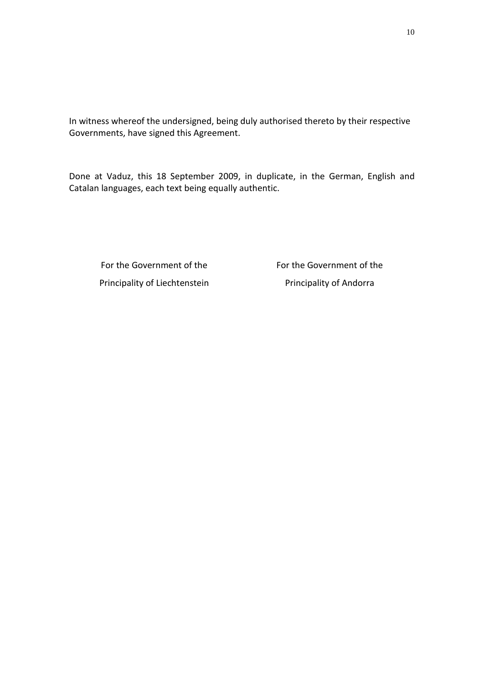witness whereof the undersigned, being duly authorised thereto by their respective reof the undersigned, being duly<br>have signed this Agreement. ness whereof the undersigned, being duly authorised thereto by their respective<br>nments, have signed this Agreement.<br>at Vaduz, this 18 September 2009, in duplicate, in the German, English and In witness whereof the undersigned, being duly authorise<br>Governments, have signed this Agreement.<br>Done at Vaduz, this 18 September 2009, in duplicate,<br>Catalan languages, each text being equally authentic.

languages, each text being equally authentic. <sub>guages, each text being equally a<br>the Government of the<br>the Government of the</sub> the Government of the

vernment of the<br>of Liechtenstein

For the Government of the<br>Principality of Andorra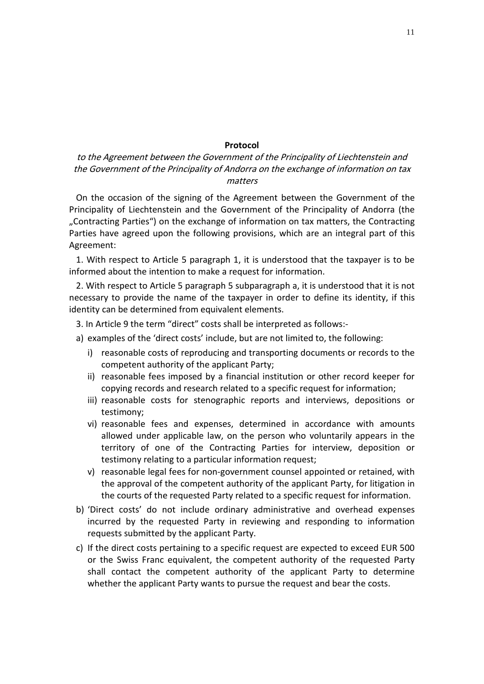# to the Agreement between the Government of the Principality of Liechtenstein and the Government of the Principality of Andorra on the exchange of information on tax matters **Example 26 Protocol**<br>the Agreement between the Government of the Principality of Liechtenstein and<br>Government of the Principality of Andorra on the exchange of information on tax<br>the occasion of the signing of the Agreeme **Protocol**<br> **Protocol**<br>
reement between the Government of the Principality of Liechtenstein and<br>
information on tax<br>
matters<br>
casion of the signing of the Agreement between the Government of the<br>
of Liechtenstein and the G

**Protocol<br>
ement between the Government of the Principality of Liechtenstein and<br>
ment of the Principality of Andorra on the exchange of information on tax<br>
matters<br>
asion of the signing of the Agreement between the Govern** Agreement between the Government of the Principality of Liechtenstein and<br>
invernment of the Principality of Andorra on the exchange of information on tax<br>
matters<br>
a occasion of the signing of the Agreement between the Go matters<br>
in the occasion of the signing of the Agreement between the Government of the<br>
cipality of Liechtenstein and the Government of the Principality of Andorra (the<br>
intracting Parties") on the exchange of information On the occasion of the signing of the Agreement between the Government of the On the occasion of the signing of the Agreement between the G<br>
incipality of Liechtenstein and the Government of the Principalit<br>
Contracting Parties") on the exchange of information on tax matter<br>
arties have agreed upon cipality of Liechtenstein and the Government of the Principality of Andorra (the<br>ntracting Parties") on the exchange of information on tax matters, the Contracting<br>ies have agreed upon the following provisions, which are a "Contracting Parties") on the exchange of information on tax matters, the Contracting ng Parties") on the exchange of information on tax matters, the Contracting<br>ve agreed upon the following provisions, which are an integral part of this<br>t:<br>espect to Article 5 paragraph 1, it is understood that the taxpayer Parties

informed about the intention to make a request for information.

Frame arties have agreed upon the following provisions, which<br>greement:<br>1. With respect to Article 5 paragraph 1, it is understoo<br>formed about the intention to make a request for inform<br>2. With respect to Article 5 paragra greement:<br>
1. With respect to Article 5 paragraph 1, it is understood that the taxpay<br>
formed about the intention to make a request for information.<br>
2. With respect to Article 5 paragraph 5 subparagraph a, it is understoo With respect to Article 5 paragraph 1, it is understood that the taxpayer is to<br>med about the intention to make a request for information.<br>With respect to Article 5 paragraph 5 subparagraph a, it is understood that it is i reasonable costs of reproducing and transporting documents or records to the respect to Article 5 paragraph 5 subparagraph a, it is understood that it is not<br>ry to provide the name of the taxpayer in order to define its id n respect to Article 5 paragraph 5 subparagraph<br>le the name of the taxpayer in order-<br>rmined from equivalent elements.<br>term "direct" costs shall be interprete<br>e 'direct costs' include, but are not lir<br>costs of reproducing and transport necessary to provide the name of the taxpayer in order to define its identity, if this identity can be determined from equivalent elements.

 $n/$ 

- a) examples of the 'direct costs' include, but are not limited to, the following:
- ry to provide the name of the taxpayer in order to define its identity, if this<br>can be determined from equivalent elements.<br>rticle 9 the term "direct" costs shall be interpreted as follows:-<br>mples of the 'direct costs' inc retermined from equivalent elements.<br>he term "direct" costs shall be interpreted as follows:-<br>if the 'direct costs' include, but are not limited to, the following:<br>ble costs of reproducing and transporting documents or rec rticle 9 the term "direct" costs shall be interpreted as follows:-<br>mples of the 'direct costs' include, but are not limited to, the following:<br>reasonable costs of reproducing and transporting documents or records to the<br>co i) reasonable costs of reproducing and transporting documents or records to the reasonable costs of reproducing and transporting documents or records to the<br>competent authority of the applicant Party;<br>reasonable fees imposed by a financial institution or other record keeper for<br>copying records and res competent authority of the applicant Party;
	- In authority of the applicant Party;<br>in authority of the applicant Party;<br>ile fees imposed by a financial institution or other record keeper for<br>records and research related to a specific request for information;<br>le costs copying records and research related to a specific request for information;
	- iii) reasonable costs for stenographic reports and interviews, depositions or testimony;
- The complete the Contraction of the record keeper for<br>copying records and research related to a specific request for information;<br>reasonable costs for stenographic reports and interviews, depositions or<br>testimony;<br>reasonab allowed under applicable law, on the person who voluntarily appears in the reasonable costs for stenographic reports and interviews, depositions or<br>testimony;<br>reasonable fees and expenses, determined in accordance with amounts<br>allowed under applicable law, on the person who voluntarily appears in imony;<br>ionable fees and expenses, determined in accordance with amounts<br>wed under applicable law, on the person who voluntarily appears in the<br>itory of one of the Contracting Parties for interview, deposition or<br>imony rela vi) reasonable fees and expenses, determined in accordance with amounts vi) reasonable fees and expenses, determined in accordance with amounts<br>allowed under applicable law, on the person who voluntarily appears in the<br>territory of one of the Contracting Parties for interview, deposition or<br>te allowed under applicable law, on the person who voluntarily appears in the<br>territory of one of the Contracting Parties for interview, deposition or<br>testimony relating to a particular information request;<br>v) reasonable lega territory of one of the Contracting Parties for interview, deposition or testimony relating to a particular information request;
	- by of one of the Contracting Parties for interview, deposition or<br>ony relating to a particular information request;<br>hable legal fees for non-government counsel appointed or retained, with<br>proval of the competent authority the courts of the requested Party related to a specific request for information.
- testimony relating to a particular information<br>v) reasonable legal fees for non-government of<br>the approval of the competent authority of<br>the courts of the requested Party related to<br>b) 'Direct costs' do not include ordinar v) reasonable legal fees for non-government counsel appointed or retained, with<br>the approval of the competent authority of the applicant Party, for litigation in<br>the courts of the requested Party related to a specific requ the approval of the competent authority of the applicant Party, for litigation in<br>the courts of the requested Party related to a specific request for information.<br>rect costs' do not include ordinary administrative and over e courts of the requested Party related to a specific request for information.<br>
t costs' do not include ordinary administrative and overhead expenses<br>
ed by the requested Party in reviewing and responding to information<br>
s b) 'Direct costs' do not include ordinary administrative and overhead expenses
- osts' do not include ordinary administrative and overhead expen<br>by the requested Party in reviewing and responding to informat<br>submitted by the applicant Party.<br>ect costs pertaining to a specific request are expected to ex